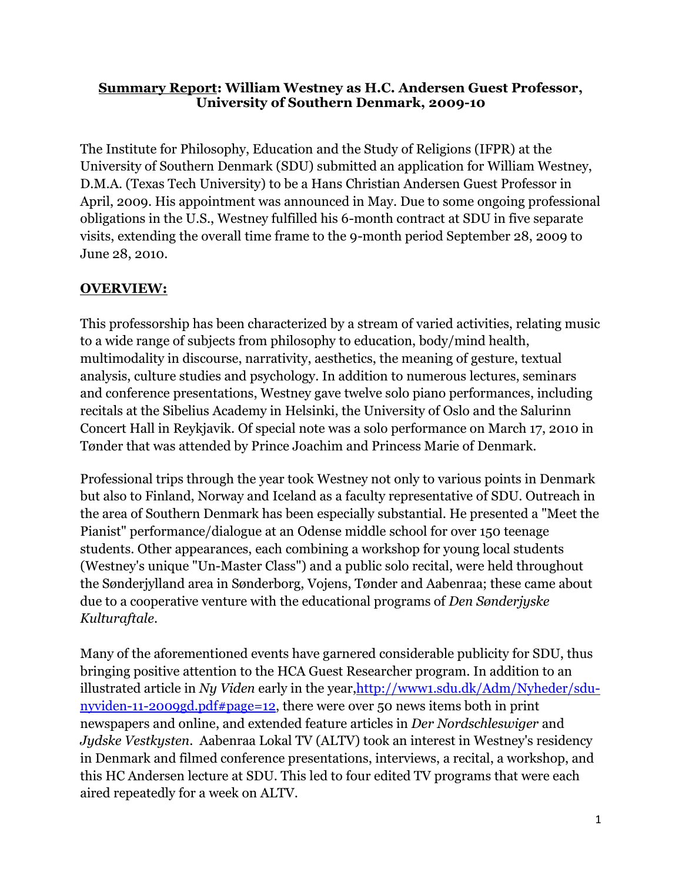### **Summary Report: William Westney as H.C. Andersen Guest Professor, University of Southern Denmark, 2009-10**

The Institute for Philosophy, Education and the Study of Religions (IFPR) at the University of Southern Denmark (SDU) submitted an application for William Westney, D.M.A. (Texas Tech University) to be a Hans Christian Andersen Guest Professor in April, 2009. His appointment was announced in May. Due to some ongoing professional obligations in the U.S., Westney fulfilled his 6-month contract at SDU in five separate visits, extending the overall time frame to the 9-month period September 28, 2009 to June 28, 2010.

# **OVERVIEW:**

This professorship has been characterized by a stream of varied activities, relating music to a wide range of subjects from philosophy to education, body/mind health, multimodality in discourse, narrativity, aesthetics, the meaning of gesture, textual analysis, culture studies and psychology. In addition to numerous lectures, seminars and conference presentations, Westney gave twelve solo piano performances, including recitals at the Sibelius Academy in Helsinki, the University of Oslo and the Salurinn Concert Hall in Reykjavik. Of special note was a solo performance on March 17, 2010 in Tønder that was attended by Prince Joachim and Princess Marie of Denmark.

Professional trips through the year took Westney not only to various points in Denmark but also to Finland, Norway and Iceland as a faculty representative of SDU. Outreach in the area of Southern Denmark has been especially substantial. He presented a "Meet the Pianist" performance/dialogue at an Odense middle school for over 150 teenage students. Other appearances, each combining a workshop for young local students (Westney's unique "Un-Master Class") and a public solo recital, were held throughout the Sønderjylland area in Sønderborg, Vojens, Tønder and Aabenraa; these came about due to a cooperative venture with the educational programs of *Den Sønderjyske Kulturaftale*.

Many of the aforementioned events have garnered considerable publicity for SDU, thus bringing positive attention to the HCA Guest Researcher program. In addition to an illustrated article in *Ny Viden* early in the year[,http://www1.sdu.dk/Adm/Nyheder/sdu](http://www1.sdu.dk/Adm/Nyheder/sdu-nyviden-11-2009gd.pdf#page=12)[nyviden-11-2009gd.pdf#page=12,](http://www1.sdu.dk/Adm/Nyheder/sdu-nyviden-11-2009gd.pdf#page=12) there were over 50 news items both in print newspapers and online, and extended feature articles in *Der Nordschleswiger* and *Jydske Vestkysten*. Aabenraa Lokal TV (ALTV) took an interest in Westney's residency in Denmark and filmed conference presentations, interviews, a recital, a workshop, and this HC Andersen lecture at SDU. This led to four edited TV programs that were each aired repeatedly for a week on ALTV.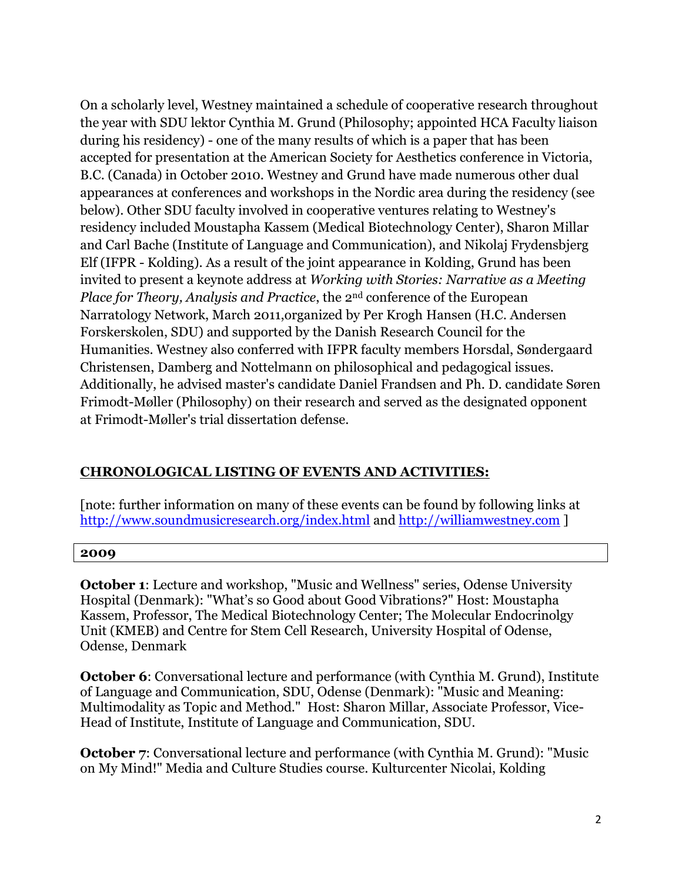On a scholarly level, Westney maintained a schedule of cooperative research throughout the year with SDU lektor Cynthia M. Grund (Philosophy; appointed HCA Faculty liaison during his residency) - one of the many results of which is a paper that has been accepted for presentation at the American Society for Aesthetics conference in Victoria, B.C. (Canada) in October 2010. Westney and Grund have made numerous other dual appearances at conferences and workshops in the Nordic area during the residency (see below). Other SDU faculty involved in cooperative ventures relating to Westney's residency included Moustapha Kassem (Medical Biotechnology Center), Sharon Millar and Carl Bache (Institute of Language and Communication), and Nikolaj Frydensbjerg Elf (IFPR - Kolding). As a result of the joint appearance in Kolding, Grund has been invited to present a keynote address at *Working with Stories: Narrative as a Meeting Place for Theory, Analysis and Practice*, the 2nd conference of the European Narratology Network, March 2011,organized by Per Krogh Hansen (H.C. Andersen Forskerskolen, SDU) and supported by the Danish Research Council for the Humanities. Westney also conferred with IFPR faculty members Horsdal, Søndergaard Christensen, Damberg and Nottelmann on philosophical and pedagogical issues. Additionally, he advised master's candidate Daniel Frandsen and Ph. D. candidate Søren Frimodt-Møller (Philosophy) on their research and served as the designated opponent at Frimodt-Møller's trial dissertation defense.

## **CHRONOLOGICAL LISTING OF EVENTS AND ACTIVITIES:**

[note: further information on many of these events can be found by following links at <http://www.soundmusicresearch.org/index.html> and [http://williamwestney.com](http://williamwestney.com/) ]

#### **2009**

**October 1**: Lecture and workshop, "Music and Wellness" series, Odense University Hospital (Denmark): "What's so Good about Good Vibrations?" Host: Moustapha Kassem, Professor, The Medical Biotechnology Center; The Molecular Endocrinolgy Unit (KMEB) and Centre for Stem Cell Research, University Hospital of Odense, Odense, Denmark

**October 6**: Conversational lecture and performance (with Cynthia M. Grund), Institute of Language and Communication, SDU, Odense (Denmark): "Music and Meaning: Multimodality as Topic and Method." Host: Sharon Millar, Associate Professor, Vice-Head of Institute, Institute of Language and Communication, SDU.

**October 7:** Conversational lecture and performance (with Cynthia M. Grund): "Music on My Mind!" Media and Culture Studies course. Kulturcenter Nicolai, Kolding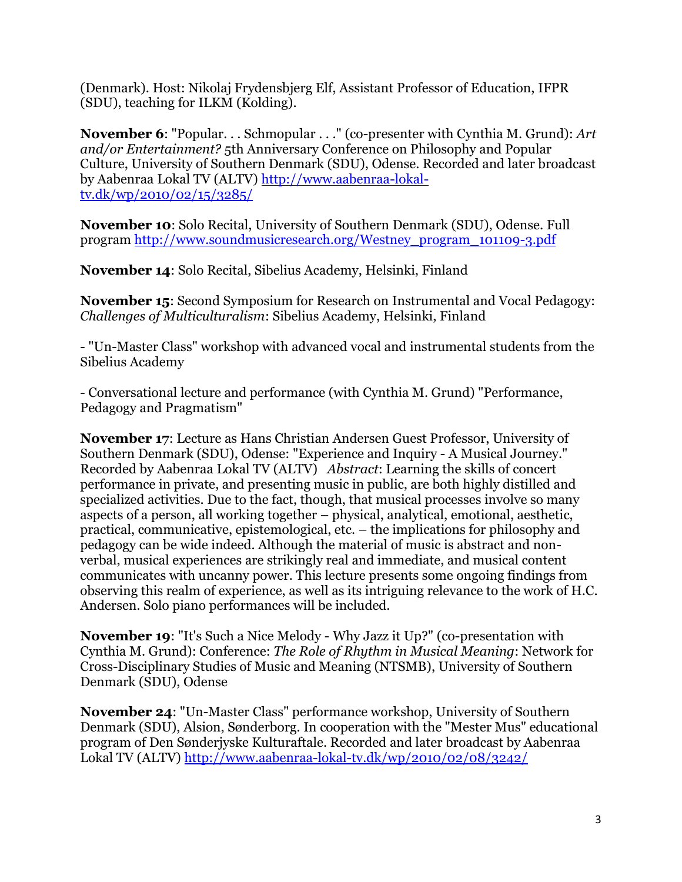(Denmark). Host: Nikolaj Frydensbjerg Elf, Assistant Professor of Education, IFPR (SDU), teaching for ILKM (Kolding).

**November 6**: "Popular. . . Schmopular . . ." (co-presenter with Cynthia M. Grund): *Art and/or Entertainment?* 5th Anniversary Conference on Philosophy and Popular Culture, University of Southern Denmark (SDU), Odense. Recorded and later broadcast by Aabenraa Lokal TV (ALTV) [http://www.aabenraa-lokal](http://www.aabenraa-lokal-tv.dk/wp/2010/02/15/3285/)[tv.dk/wp/2010/02/15/3285/](http://www.aabenraa-lokal-tv.dk/wp/2010/02/15/3285/)

**November 10**: Solo Recital, University of Southern Denmark (SDU), Odense. Full program [http://www.soundmusicresearch.org/Westney\\_program\\_101109-3.pdf](http://www.soundmusicresearch.org/Westney_program_101109-3.pdf)

**November 14**: Solo Recital, Sibelius Academy, Helsinki, Finland

**November 15**: Second Symposium for Research on Instrumental and Vocal Pedagogy: *Challenges of Multiculturalism*: Sibelius Academy, Helsinki, Finland

- "Un-Master Class" workshop with advanced vocal and instrumental students from the Sibelius Academy

- Conversational lecture and performance (with Cynthia M. Grund) "Performance, Pedagogy and Pragmatism"

**November 17**: Lecture as Hans Christian Andersen Guest Professor, University of Southern Denmark (SDU), Odense: "Experience and Inquiry - A Musical Journey." Recorded by Aabenraa Lokal TV (ALTV) *Abstract*: Learning the skills of concert performance in private, and presenting music in public, are both highly distilled and specialized activities. Due to the fact, though, that musical processes involve so many aspects of a person, all working together – physical, analytical, emotional, aesthetic, practical, communicative, epistemological, etc. – the implications for philosophy and pedagogy can be wide indeed. Although the material of music is abstract and nonverbal, musical experiences are strikingly real and immediate, and musical content communicates with uncanny power. This lecture presents some ongoing findings from observing this realm of experience, as well as its intriguing relevance to the work of H.C. Andersen. Solo piano performances will be included.

**November 19**: "It's Such a Nice Melody - Why Jazz it Up?" (co-presentation with Cynthia M. Grund): Conference: *The Role of Rhythm in Musical Meaning*: Network for Cross-Disciplinary Studies of Music and Meaning (NTSMB), University of Southern Denmark (SDU), Odense

**November 24**: "Un-Master Class" performance workshop, University of Southern Denmark (SDU), Alsion, Sønderborg. In cooperation with the "Mester Mus" educational program of Den Sønderjyske Kulturaftale. Recorded and later broadcast by Aabenraa Lokal TV (ALTV) <http://www.aabenraa-lokal-tv.dk/wp/2010/02/08/3242/>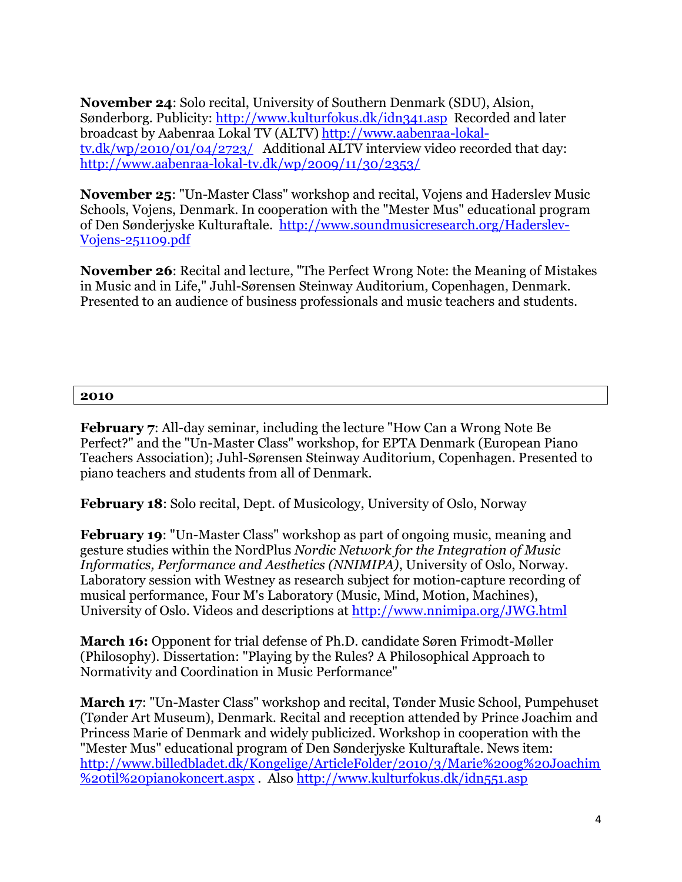**November 24**: Solo recital, University of Southern Denmark (SDU), Alsion, Sønderborg. Publicity:<http://www.kulturfokus.dk/idn341.asp>Recorded and later broadcast by Aabenraa Lokal TV (ALTV) [http://www.aabenraa-lokal](http://www.aabenraa-lokal-tv.dk/wp/2010/01/04/2723/)[tv.dk/wp/2010/01/04/2723/](http://www.aabenraa-lokal-tv.dk/wp/2010/01/04/2723/) Additional ALTV interview video recorded that day: <http://www.aabenraa-lokal-tv.dk/wp/2009/11/30/2353/>

**November 25**: "Un-Master Class" workshop and recital, Vojens and Haderslev Music Schools, Vojens, Denmark. In cooperation with the "Mester Mus" educational program of Den Sønderjyske Kulturaftale. [http://www.soundmusicresearch.org/Haderslev-](http://www.soundmusicresearch.org/Haderslev-Vojens-251109.pdf)[Vojens-251109.pdf](http://www.soundmusicresearch.org/Haderslev-Vojens-251109.pdf)

**November 26**: Recital and lecture, "The Perfect Wrong Note: the Meaning of Mistakes in Music and in Life," Juhl-Sørensen Steinway Auditorium, Copenhagen, Denmark. Presented to an audience of business professionals and music teachers and students.

#### **2010**

**February 7**: All-day seminar, including the lecture "How Can a Wrong Note Be Perfect?" and the "Un-Master Class" workshop, for EPTA Denmark (European Piano Teachers Association); Juhl-Sørensen Steinway Auditorium, Copenhagen. Presented to piano teachers and students from all of Denmark.

**February 18**: Solo recital, Dept. of Musicology, University of Oslo, Norway

**February 19**: "Un-Master Class" workshop as part of ongoing music, meaning and gesture studies within the NordPlus *Nordic Network for the Integration of Music Informatics, Performance and Aesthetics (NNIMIPA)*, University of Oslo, Norway. Laboratory session with Westney as research subject for motion-capture recording of musical performance, Four M's Laboratory (Music, Mind, Motion, Machines), University of Oslo. Videos and descriptions at<http://www.nnimipa.org/JWG.html>

**March 16:** Opponent for trial defense of Ph.D. candidate Søren Frimodt-Møller (Philosophy). Dissertation: "Playing by the Rules? A Philosophical Approach to Normativity and Coordination in Music Performance"

**March 17**: "Un-Master Class" workshop and recital, Tønder Music School, Pumpehuset (Tønder Art Museum), Denmark. Recital and reception attended by Prince Joachim and Princess Marie of Denmark and widely publicized. Workshop in cooperation with the "Mester Mus" educational program of Den Sønderjyske Kulturaftale. News item: [http://www.billedbladet.dk/Kongelige/ArticleFolder/2010/3/Marie%20og%20Joachim](http://www.billedbladet.dk/Kongelige/ArticleFolder/2010/3/Marie%20og%20Joachim%20til%20pianokoncert.aspx) [%20til%20pianokoncert.aspx](http://www.billedbladet.dk/Kongelige/ArticleFolder/2010/3/Marie%20og%20Joachim%20til%20pianokoncert.aspx) . Also<http://www.kulturfokus.dk/idn551.asp>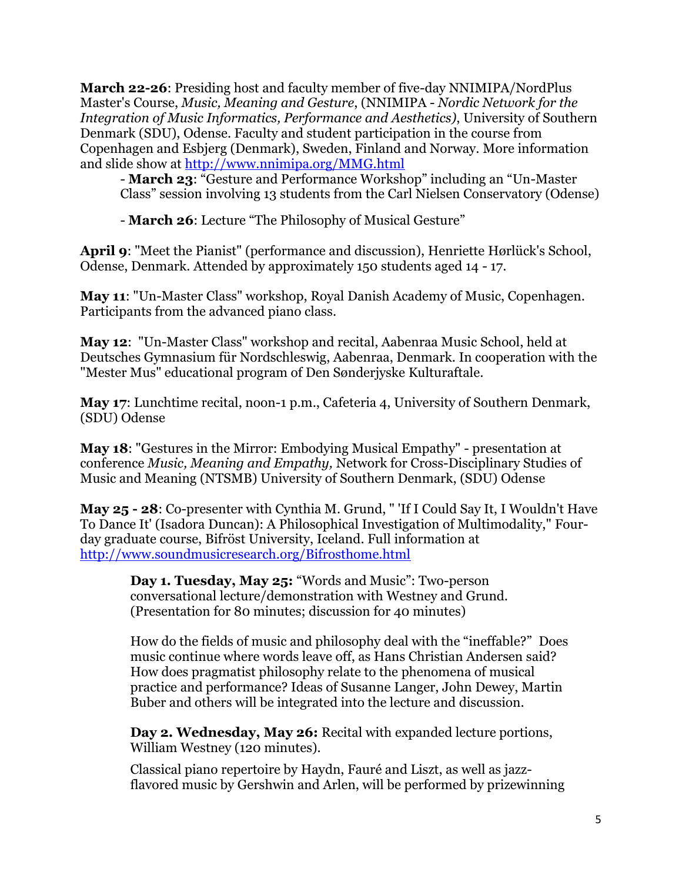**March 22-26**: Presiding host and faculty member of five-day NNIMIPA/NordPlus Master's Course, *Music, Meaning and Gesture*, (NNIMIPA - *Nordic Network for the Integration of Music Informatics, Performance and Aesthetics)*, University of Southern Denmark (SDU), Odense. Faculty and student participation in the course from Copenhagen and Esbjerg (Denmark), Sweden, Finland and Norway. More information and slide show at<http://www.nnimipa.org/MMG.html>

- **March 23**: "Gesture and Performance Workshop" including an "Un-Master Class" session involving 13 students from the Carl Nielsen Conservatory (Odense)

- **March 26**: Lecture "The Philosophy of Musical Gesture"

**April 9**: "Meet the Pianist" (performance and discussion), Henriette Hørlück's School, Odense, Denmark. Attended by approximately 150 students aged 14 - 17.

**May 11**: "Un-Master Class" workshop, Royal Danish Academy of Music, Copenhagen. Participants from the advanced piano class.

**May 12**: "Un-Master Class" workshop and recital, Aabenraa Music School, held at Deutsches Gymnasium für Nordschleswig, Aabenraa, Denmark. In cooperation with the "Mester Mus" educational program of Den Sønderjyske Kulturaftale.

**May 17**: Lunchtime recital, noon-1 p.m., Cafeteria 4, University of Southern Denmark, (SDU) Odense

**May 18**: "Gestures in the Mirror: Embodying Musical Empathy" - presentation at conference *Music, Meaning and Empathy,* Network for Cross-Disciplinary Studies of Music and Meaning (NTSMB) University of Southern Denmark, (SDU) Odense

**May 25 - 28**: Co-presenter with Cynthia M. Grund, " 'If I Could Say It, I Wouldn't Have To Dance It' (Isadora Duncan): A Philosophical Investigation of Multimodality," Fourday graduate course, Bifröst University, Iceland. Full information at <http://www.soundmusicresearch.org/Bifrosthome.html>

**Day 1. Tuesday, May 25:** "Words and Music": Two-person conversational lecture/demonstration with Westney and Grund. (Presentation for 80 minutes; discussion for 40 minutes)

How do the fields of music and philosophy deal with the "ineffable?" Does music continue where words leave off, as Hans Christian Andersen said? How does pragmatist philosophy relate to the phenomena of musical practice and performance? Ideas of Susanne Langer, John Dewey, Martin Buber and others will be integrated into the lecture and discussion.

**Day 2. Wednesday, May 26:** Recital with expanded lecture portions, William Westney (120 minutes).

Classical piano repertoire by Haydn, Fauré and Liszt, as well as jazzflavored music by Gershwin and Arlen, will be performed by prizewinning